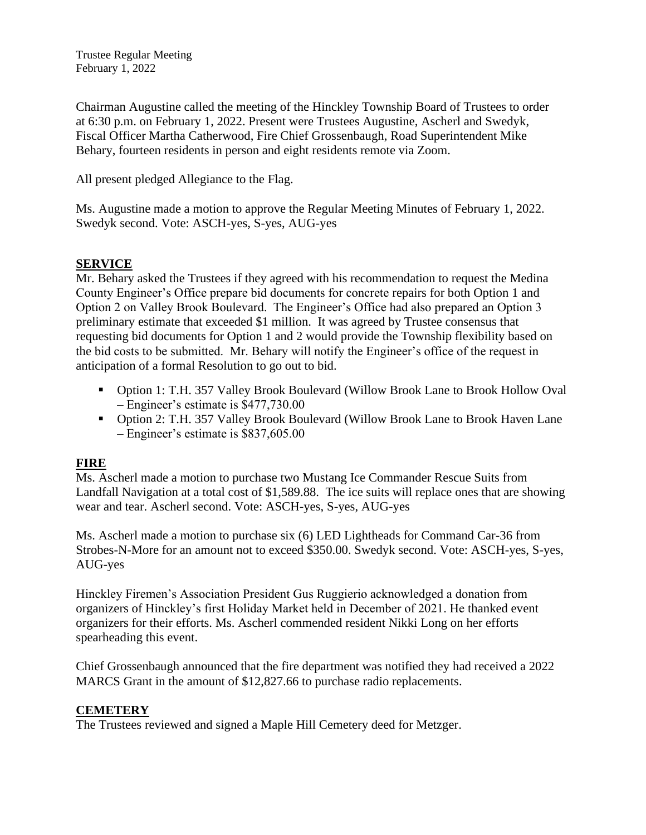Trustee Regular Meeting February 1, 2022

Chairman Augustine called the meeting of the Hinckley Township Board of Trustees to order at 6:30 p.m. on February 1, 2022. Present were Trustees Augustine, Ascherl and Swedyk, Fiscal Officer Martha Catherwood, Fire Chief Grossenbaugh, Road Superintendent Mike Behary, fourteen residents in person and eight residents remote via Zoom.

All present pledged Allegiance to the Flag.

Ms. Augustine made a motion to approve the Regular Meeting Minutes of February 1, 2022. Swedyk second. Vote: ASCH-yes, S-yes, AUG-yes

# **SERVICE**

Mr. Behary asked the Trustees if they agreed with his recommendation to request the Medina County Engineer's Office prepare bid documents for concrete repairs for both Option 1 and Option 2 on Valley Brook Boulevard. The Engineer's Office had also prepared an Option 3 preliminary estimate that exceeded \$1 million. It was agreed by Trustee consensus that requesting bid documents for Option 1 and 2 would provide the Township flexibility based on the bid costs to be submitted. Mr. Behary will notify the Engineer's office of the request in anticipation of a formal Resolution to go out to bid.

- Option 1: T.H. 357 Valley Brook Boulevard (Willow Brook Lane to Brook Hollow Oval – Engineer's estimate is \$477,730.00
- Option 2: T.H. 357 Valley Brook Boulevard (Willow Brook Lane to Brook Haven Lane – Engineer's estimate is \$837,605.00

## **FIRE**

Ms. Ascherl made a motion to purchase two Mustang Ice Commander Rescue Suits from Landfall Navigation at a total cost of \$1,589.88. The ice suits will replace ones that are showing wear and tear. Ascherl second. Vote: ASCH-yes, S-yes, AUG-yes

Ms. Ascherl made a motion to purchase six (6) LED Lightheads for Command Car-36 from Strobes-N-More for an amount not to exceed \$350.00. Swedyk second. Vote: ASCH-yes, S-yes, AUG-yes

Hinckley Firemen's Association President Gus Ruggierio acknowledged a donation from organizers of Hinckley's first Holiday Market held in December of 2021. He thanked event organizers for their efforts. Ms. Ascherl commended resident Nikki Long on her efforts spearheading this event.

Chief Grossenbaugh announced that the fire department was notified they had received a 2022 MARCS Grant in the amount of \$12,827.66 to purchase radio replacements.

## **CEMETERY**

The Trustees reviewed and signed a Maple Hill Cemetery deed for Metzger.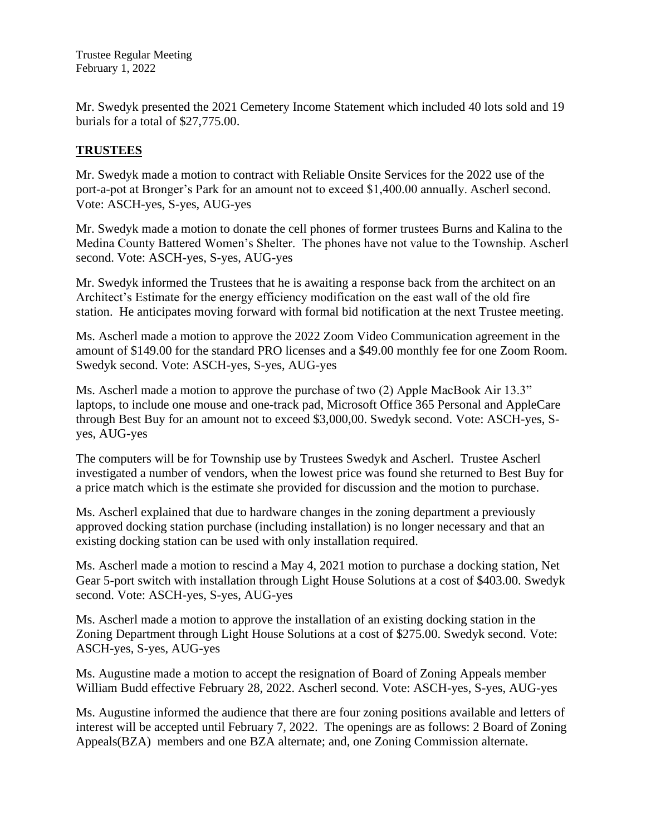Trustee Regular Meeting February 1, 2022

Mr. Swedyk presented the 2021 Cemetery Income Statement which included 40 lots sold and 19 burials for a total of \$27,775.00.

# **TRUSTEES**

Mr. Swedyk made a motion to contract with Reliable Onsite Services for the 2022 use of the port-a-pot at Bronger's Park for an amount not to exceed \$1,400.00 annually. Ascherl second. Vote: ASCH-yes, S-yes, AUG-yes

Mr. Swedyk made a motion to donate the cell phones of former trustees Burns and Kalina to the Medina County Battered Women's Shelter. The phones have not value to the Township. Ascherl second. Vote: ASCH-yes, S-yes, AUG-yes

Mr. Swedyk informed the Trustees that he is awaiting a response back from the architect on an Architect's Estimate for the energy efficiency modification on the east wall of the old fire station. He anticipates moving forward with formal bid notification at the next Trustee meeting.

Ms. Ascherl made a motion to approve the 2022 Zoom Video Communication agreement in the amount of \$149.00 for the standard PRO licenses and a \$49.00 monthly fee for one Zoom Room. Swedyk second. Vote: ASCH-yes, S-yes, AUG-yes

Ms. Ascherl made a motion to approve the purchase of two (2) Apple MacBook Air 13.3" laptops, to include one mouse and one-track pad, Microsoft Office 365 Personal and AppleCare through Best Buy for an amount not to exceed \$3,000,00. Swedyk second. Vote: ASCH-yes, Syes, AUG-yes

The computers will be for Township use by Trustees Swedyk and Ascherl. Trustee Ascherl investigated a number of vendors, when the lowest price was found she returned to Best Buy for a price match which is the estimate she provided for discussion and the motion to purchase.

Ms. Ascherl explained that due to hardware changes in the zoning department a previously approved docking station purchase (including installation) is no longer necessary and that an existing docking station can be used with only installation required.

Ms. Ascherl made a motion to rescind a May 4, 2021 motion to purchase a docking station, Net Gear 5-port switch with installation through Light House Solutions at a cost of \$403.00. Swedyk second. Vote: ASCH-yes, S-yes, AUG-yes

Ms. Ascherl made a motion to approve the installation of an existing docking station in the Zoning Department through Light House Solutions at a cost of \$275.00. Swedyk second. Vote: ASCH-yes, S-yes, AUG-yes

Ms. Augustine made a motion to accept the resignation of Board of Zoning Appeals member William Budd effective February 28, 2022. Ascherl second. Vote: ASCH-yes, S-yes, AUG-yes

Ms. Augustine informed the audience that there are four zoning positions available and letters of interest will be accepted until February 7, 2022. The openings are as follows: 2 Board of Zoning Appeals(BZA) members and one BZA alternate; and, one Zoning Commission alternate.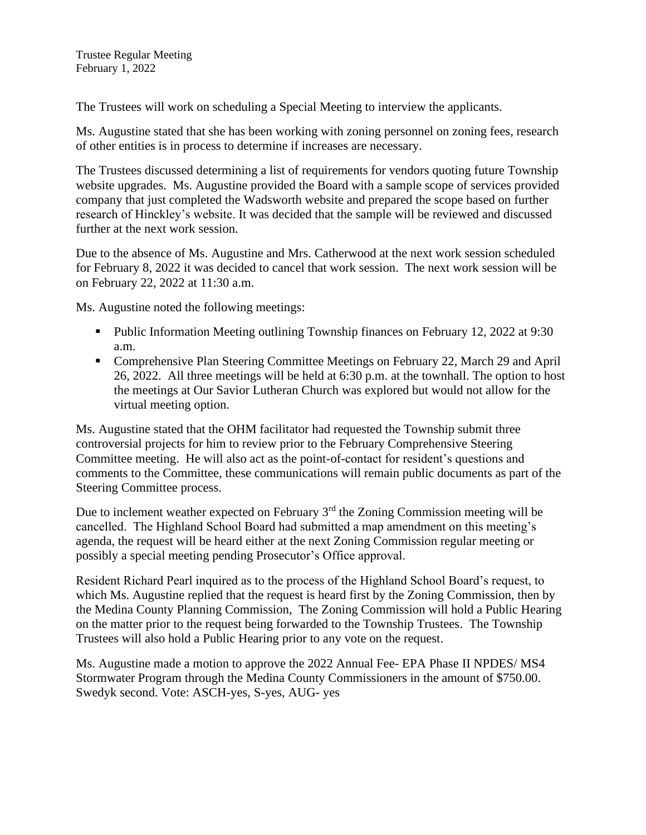The Trustees will work on scheduling a Special Meeting to interview the applicants.

Ms. Augustine stated that she has been working with zoning personnel on zoning fees, research of other entities is in process to determine if increases are necessary.

The Trustees discussed determining a list of requirements for vendors quoting future Township website upgrades. Ms. Augustine provided the Board with a sample scope of services provided company that just completed the Wadsworth website and prepared the scope based on further research of Hinckley's website. It was decided that the sample will be reviewed and discussed further at the next work session.

Due to the absence of Ms. Augustine and Mrs. Catherwood at the next work session scheduled for February 8, 2022 it was decided to cancel that work session. The next work session will be on February 22, 2022 at 11:30 a.m.

Ms. Augustine noted the following meetings:

- Public Information Meeting outlining Township finances on February 12, 2022 at 9:30 a.m.
- Comprehensive Plan Steering Committee Meetings on February 22, March 29 and April 26, 2022. All three meetings will be held at 6:30 p.m. at the townhall. The option to host the meetings at Our Savior Lutheran Church was explored but would not allow for the virtual meeting option.

Ms. Augustine stated that the OHM facilitator had requested the Township submit three controversial projects for him to review prior to the February Comprehensive Steering Committee meeting. He will also act as the point-of-contact for resident's questions and comments to the Committee, these communications will remain public documents as part of the Steering Committee process.

Due to inclement weather expected on February 3<sup>rd</sup> the Zoning Commission meeting will be cancelled. The Highland School Board had submitted a map amendment on this meeting's agenda, the request will be heard either at the next Zoning Commission regular meeting or possibly a special meeting pending Prosecutor's Office approval.

Resident Richard Pearl inquired as to the process of the Highland School Board's request, to which Ms. Augustine replied that the request is heard first by the Zoning Commission, then by the Medina County Planning Commission, The Zoning Commission will hold a Public Hearing on the matter prior to the request being forwarded to the Township Trustees. The Township Trustees will also hold a Public Hearing prior to any vote on the request.

Ms. Augustine made a motion to approve the 2022 Annual Fee- EPA Phase II NPDES/ MS4 Stormwater Program through the Medina County Commissioners in the amount of \$750.00. Swedyk second. Vote: ASCH-yes, S-yes, AUG- yes